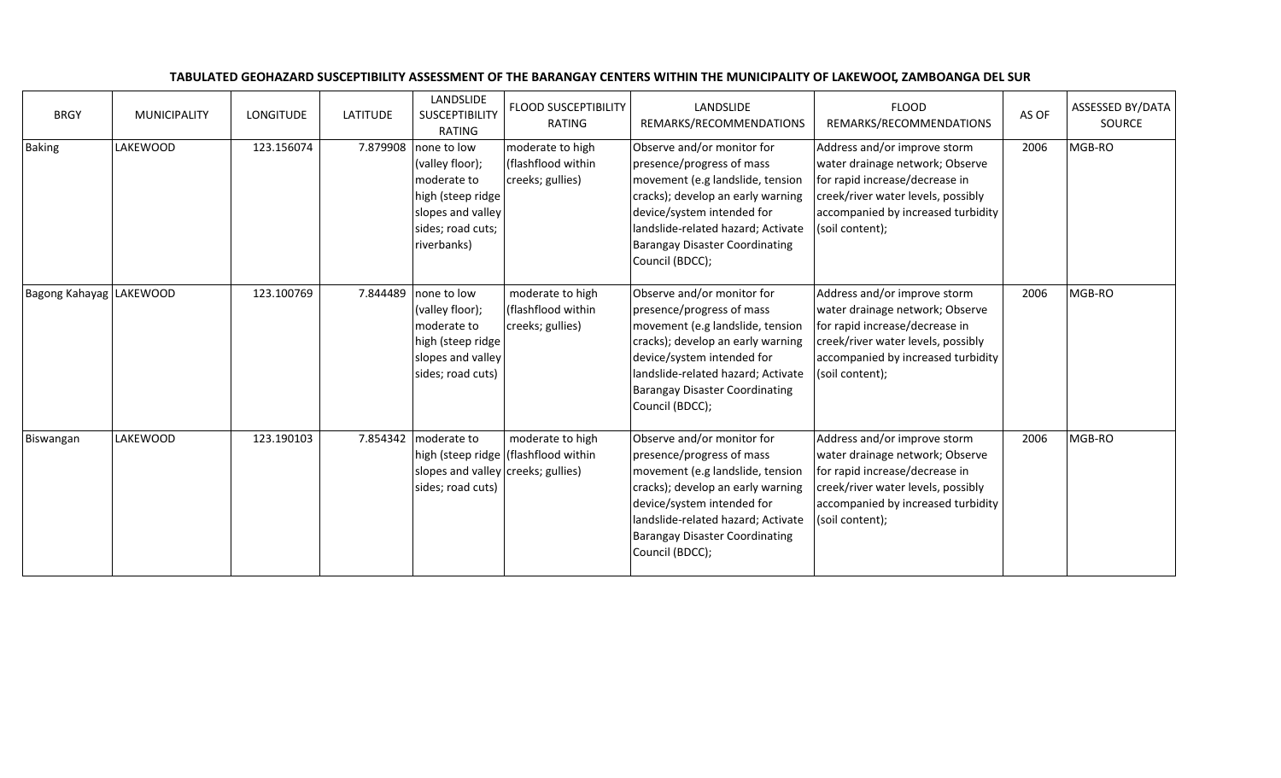| <b>BRGY</b>             | <b>MUNICIPALITY</b> | <b>LONGITUDE</b> | <b>LATITUDE</b> | LANDSLIDE<br>SUSCEPTIBILITY<br>RATING                                                                                       | <b>FLOOD SUSCEPTIBILITY</b><br>RATING                      | LANDSLIDE<br>REMARKS/RECOMMENDATIONS                                                                                                                                                                                                                             | <b>FLOOD</b><br>REMARKS/RECOMMENDATIONS                                                                                                                                                          | AS OF | ASSESSED BY/DATA<br>SOURCE |
|-------------------------|---------------------|------------------|-----------------|-----------------------------------------------------------------------------------------------------------------------------|------------------------------------------------------------|------------------------------------------------------------------------------------------------------------------------------------------------------------------------------------------------------------------------------------------------------------------|--------------------------------------------------------------------------------------------------------------------------------------------------------------------------------------------------|-------|----------------------------|
| <b>Baking</b>           | <b>LAKEWOOD</b>     | 123.156074       | 7.879908        | none to low<br>(valley floor);<br>moderate to<br>high (steep ridge<br>slopes and valley<br>sides; road cuts;<br>riverbanks) | moderate to high<br>(flashflood within<br>creeks; gullies) | Observe and/or monitor for<br>presence/progress of mass<br>movement (e.g landslide, tension<br>cracks); develop an early warning<br>device/system intended for<br>landslide-related hazard; Activate<br><b>Barangay Disaster Coordinating</b><br>Council (BDCC); | Address and/or improve storm<br>water drainage network; Observe<br>for rapid increase/decrease in<br>creek/river water levels, possibly<br>accompanied by increased turbidity<br>(soil content); | 2006  | MGB-RO                     |
| Bagong Kahayag LAKEWOOD |                     | 123.100769       | 7.844489        | none to low<br>(valley floor);<br>moderate to<br>high (steep ridge<br>slopes and valley<br>sides; road cuts)                | moderate to high<br>(flashflood within<br>creeks; gullies) | Observe and/or monitor for<br>presence/progress of mass<br>movement (e.g landslide, tension<br>cracks); develop an early warning<br>device/system intended for<br>landslide-related hazard; Activate<br><b>Barangay Disaster Coordinating</b><br>Council (BDCC); | Address and/or improve storm<br>water drainage network; Observe<br>for rapid increase/decrease in<br>creek/river water levels, possibly<br>accompanied by increased turbidity<br>(soil content); | 2006  | MGB-RO                     |
| Biswangan               | LAKEWOOD            | 123.190103       |                 | 7.854342 moderate to<br>slopes and valley creeks; gullies)<br>sides; road cuts)                                             | moderate to high<br>high (steep ridge   (flashflood within | Observe and/or monitor for<br>presence/progress of mass<br>movement (e.g landslide, tension<br>cracks); develop an early warning<br>device/system intended for<br>landslide-related hazard; Activate<br><b>Barangay Disaster Coordinating</b><br>Council (BDCC); | Address and/or improve storm<br>water drainage network; Observe<br>for rapid increase/decrease in<br>creek/river water levels, possibly<br>accompanied by increased turbidity<br>(soil content); | 2006  | MGB-RO                     |

## TABULATED GEOHAZARD SUSCEPTIBILITY ASSESSMENT OF THE BARANGAY CENTERS WITHIN THE MUNICIPALITY OF LAKEWOOD, ZAMBOANGA DEL SUR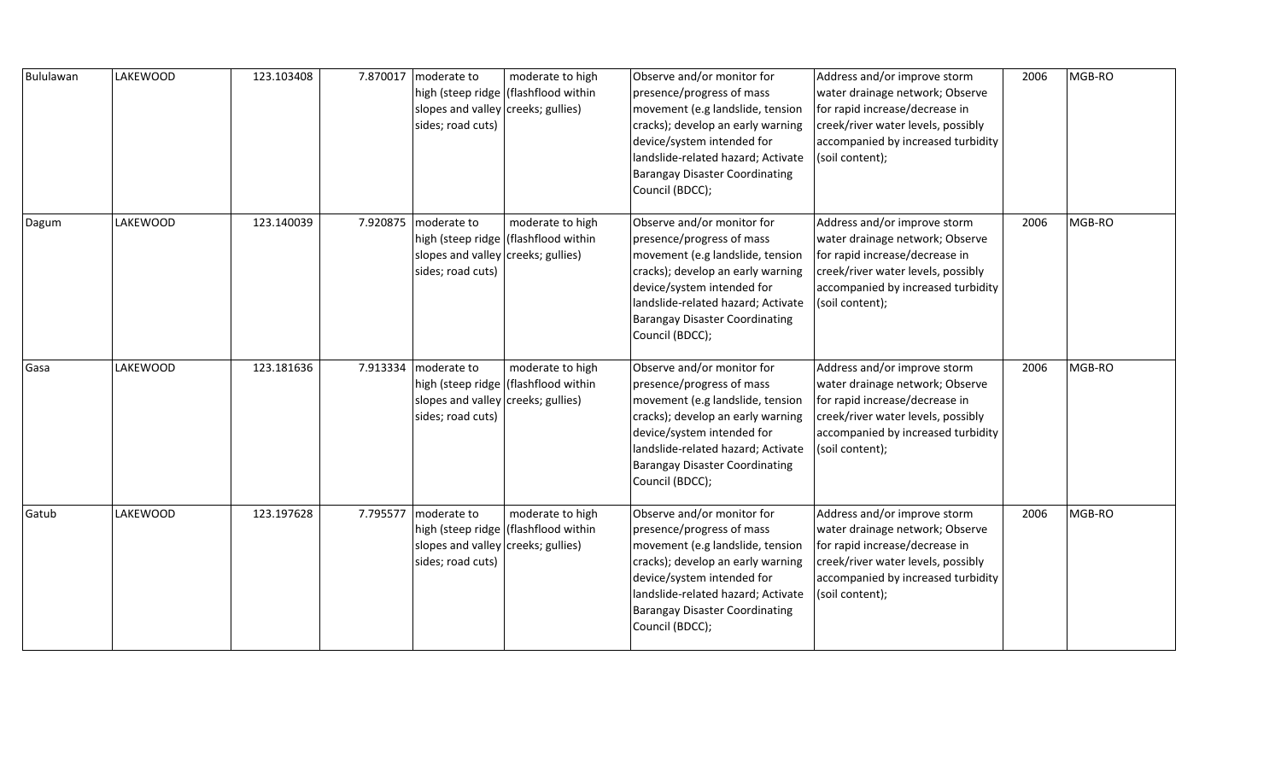| Bululawan | <b>LAKEWOOD</b> | 123.103408 |          | 7.870017 moderate to<br>slopes and valley creeks; gullies)<br>sides; road cuts)                        | moderate to high<br>high (steep ridge   (flashflood within | Observe and/or monitor for<br>presence/progress of mass<br>movement (e.g landslide, tension<br>cracks); develop an early warning<br>device/system intended for<br>landslide-related hazard; Activate<br><b>Barangay Disaster Coordinating</b><br>Council (BDCC); | Address and/or improve storm<br>water drainage network; Observe<br>for rapid increase/decrease in<br>creek/river water levels, possibly<br>accompanied by increased turbidity<br>(soil content); | 2006 | MGB-RO |
|-----------|-----------------|------------|----------|--------------------------------------------------------------------------------------------------------|------------------------------------------------------------|------------------------------------------------------------------------------------------------------------------------------------------------------------------------------------------------------------------------------------------------------------------|--------------------------------------------------------------------------------------------------------------------------------------------------------------------------------------------------|------|--------|
| Dagum     | LAKEWOOD        | 123.140039 |          | 7.920875 moderate to<br>high (steep ridge  <br>slopes and valley creeks; gullies)<br>sides; road cuts) | moderate to high<br>(flashflood within                     | Observe and/or monitor for<br>presence/progress of mass<br>movement (e.g landslide, tension<br>cracks); develop an early warning<br>device/system intended for<br>landslide-related hazard; Activate<br><b>Barangay Disaster Coordinating</b><br>Council (BDCC); | Address and/or improve storm<br>water drainage network; Observe<br>for rapid increase/decrease in<br>creek/river water levels, possibly<br>accompanied by increased turbidity<br>(soil content); | 2006 | MGB-RO |
| Gasa      | LAKEWOOD        | 123.181636 |          | 7.913334 moderate to<br>slopes and valley creeks; gullies)<br>sides; road cuts)                        | moderate to high<br>high (steep ridge   (flashflood within | Observe and/or monitor for<br>presence/progress of mass<br>movement (e.g landslide, tension<br>cracks); develop an early warning<br>device/system intended for<br>landslide-related hazard; Activate<br><b>Barangay Disaster Coordinating</b><br>Council (BDCC); | Address and/or improve storm<br>water drainage network; Observe<br>for rapid increase/decrease in<br>creek/river water levels, possibly<br>accompanied by increased turbidity<br>(soil content); | 2006 | MGB-RO |
| Gatub     | LAKEWOOD        | 123.197628 | 7.795577 | moderate to<br>slopes and valley creeks; gullies)<br>sides; road cuts)                                 | moderate to high<br>high (steep ridge   (flashflood within | Observe and/or monitor for<br>presence/progress of mass<br>movement (e.g landslide, tension<br>cracks); develop an early warning<br>device/system intended for<br>landslide-related hazard; Activate<br>Barangay Disaster Coordinating<br>Council (BDCC);        | Address and/or improve storm<br>water drainage network; Observe<br>for rapid increase/decrease in<br>creek/river water levels, possibly<br>accompanied by increased turbidity<br>(soil content); | 2006 | MGB-RO |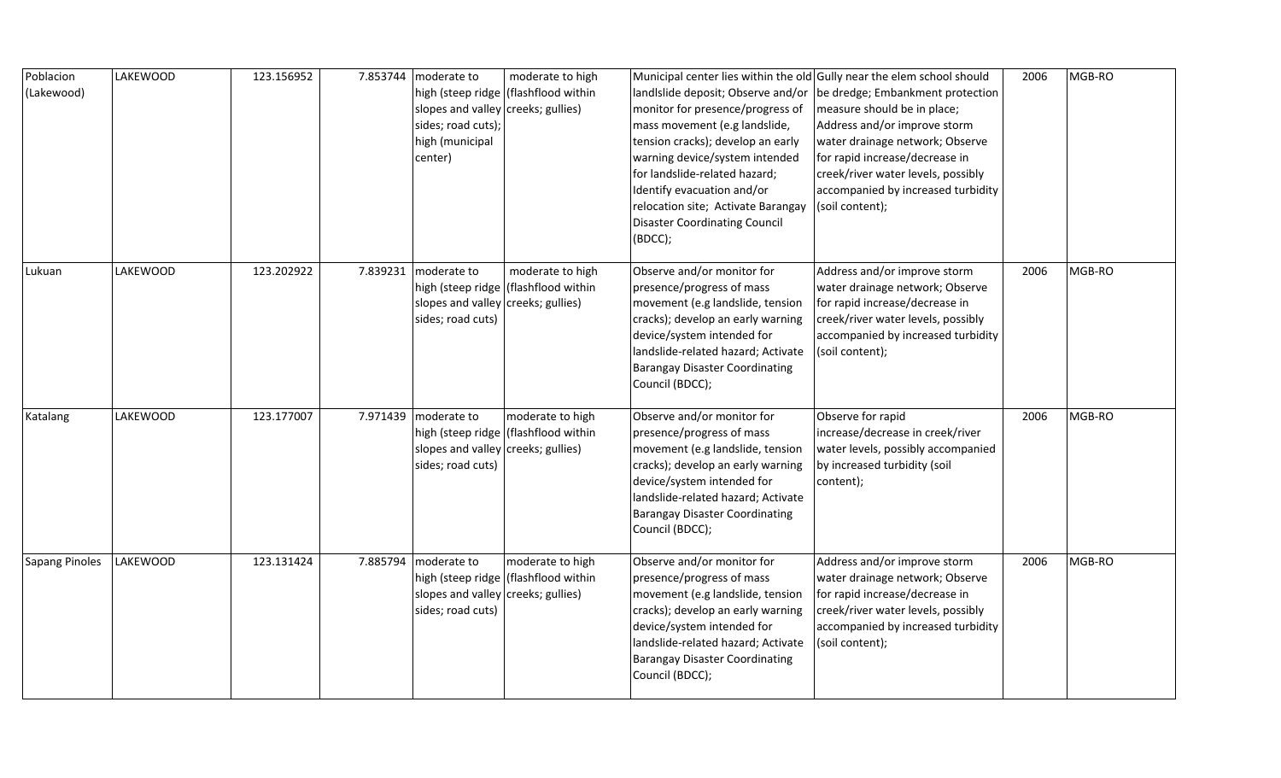| Poblacion<br>(Lakewood) | LAKEWOOD | 123.156952 | 7.853744   moderate to<br>slopes and valley creeks; gullies)<br>sides; road cuts);<br>high (municipal<br>center) | moderate to high<br>high (steep ridge   (flashflood within | monitor for presence/progress of<br>mass movement (e.g landslide,<br>tension cracks); develop an early<br>warning device/system intended<br>for landslide-related hazard;<br>Identify evacuation and/or<br>relocation site; Activate Barangay<br><b>Disaster Coordinating Council</b><br>(BDCC); | Municipal center lies within the old Gully near the elem school should<br>landIslide deposit; Observe and/or   be dredge; Embankment protection<br>measure should be in place;<br>Address and/or improve storm<br>water drainage network; Observe<br>for rapid increase/decrease in<br>creek/river water levels, possibly<br>accompanied by increased turbidity<br>(soil content); | 2006 | MGB-RO |
|-------------------------|----------|------------|------------------------------------------------------------------------------------------------------------------|------------------------------------------------------------|--------------------------------------------------------------------------------------------------------------------------------------------------------------------------------------------------------------------------------------------------------------------------------------------------|------------------------------------------------------------------------------------------------------------------------------------------------------------------------------------------------------------------------------------------------------------------------------------------------------------------------------------------------------------------------------------|------|--------|
| Lukuan                  | LAKEWOOD | 123.202922 | 7.839231   moderate to<br>slopes and valley creeks; gullies)<br>sides; road cuts)                                | moderate to high<br>high (steep ridge   (flashflood within | Observe and/or monitor for<br>presence/progress of mass<br>movement (e.g landslide, tension<br>cracks); develop an early warning<br>device/system intended for<br>landslide-related hazard; Activate<br><b>Barangay Disaster Coordinating</b><br>Council (BDCC);                                 | Address and/or improve storm<br>water drainage network; Observe<br>for rapid increase/decrease in<br>creek/river water levels, possibly<br>accompanied by increased turbidity<br>(soil content);                                                                                                                                                                                   | 2006 | MGB-RO |
| Katalang                | LAKEWOOD | 123.177007 | 7.971439 moderate to<br>slopes and valley creeks; gullies)<br>sides; road cuts)                                  | moderate to high<br>high (steep ridge   (flashflood within | Observe and/or monitor for<br>presence/progress of mass<br>movement (e.g landslide, tension<br>cracks); develop an early warning<br>device/system intended for<br>landslide-related hazard; Activate<br><b>Barangay Disaster Coordinating</b><br>Council (BDCC);                                 | Observe for rapid<br>increase/decrease in creek/river<br>water levels, possibly accompanied<br>by increased turbidity (soil<br>content);                                                                                                                                                                                                                                           | 2006 | MGB-RO |
| Sapang Pinoles          | LAKEWOOD | 123.131424 | 7.885794 moderate to<br>slopes and valley creeks; gullies)<br>sides; road cuts)                                  | moderate to high<br>high (steep ridge   (flashflood within | Observe and/or monitor for<br>presence/progress of mass<br>movement (e.g landslide, tension<br>cracks); develop an early warning<br>device/system intended for<br>landslide-related hazard; Activate<br><b>Barangay Disaster Coordinating</b><br>Council (BDCC);                                 | Address and/or improve storm<br>water drainage network; Observe<br>for rapid increase/decrease in<br>creek/river water levels, possibly<br>accompanied by increased turbidity<br>(soil content);                                                                                                                                                                                   | 2006 | MGB-RO |